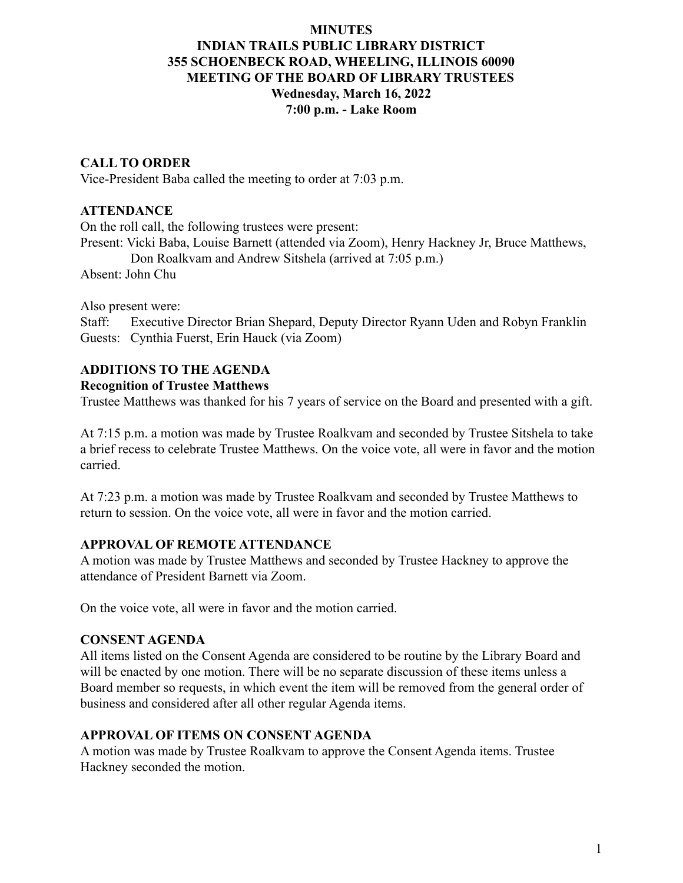### **MINUTES**

# **INDIAN TRAILS PUBLIC LIBRARY DISTRICT 355 SCHOENBECK ROAD, WHEELING, ILLINOIS 60090 MEETING OF THE BOARD OF LIBRARY TRUSTEES Wednesday, March 16, 2022 7:00 p.m. - Lake Room**

## **CALL TO ORDER**

Vice-President Baba called the meeting to order at 7:03 p.m.

## **ATTENDANCE**

On the roll call, the following trustees were present: Present: Vicki Baba, Louise Barnett (attended via Zoom), Henry Hackney Jr, Bruce Matthews, Don Roalkvam and Andrew Sitshela (arrived at 7:05 p.m.) Absent: John Chu

Also present were:

Staff: Executive Director Brian Shepard, Deputy Director Ryann Uden and Robyn Franklin Guests: Cynthia Fuerst, Erin Hauck (via Zoom)

# **ADDITIONS TO THE AGENDA**

#### **Recognition of Trustee Matthews**

Trustee Matthews was thanked for his 7 years of service on the Board and presented with a gift.

At 7:15 p.m. a motion was made by Trustee Roalkvam and seconded by Trustee Sitshela to take a brief recess to celebrate Trustee Matthews. On the voice vote, all were in favor and the motion carried.

At 7:23 p.m. a motion was made by Trustee Roalkvam and seconded by Trustee Matthews to return to session. On the voice vote, all were in favor and the motion carried.

## **APPROVAL OF REMOTE ATTENDANCE**

A motion was made by Trustee Matthews and seconded by Trustee Hackney to approve the attendance of President Barnett via Zoom.

On the voice vote, all were in favor and the motion carried.

## **CONSENT AGENDA**

All items listed on the Consent Agenda are considered to be routine by the Library Board and will be enacted by one motion. There will be no separate discussion of these items unless a Board member so requests, in which event the item will be removed from the general order of business and considered after all other regular Agenda items.

## **APPROVAL OF ITEMS ON CONSENT AGENDA**

A motion was made by Trustee Roalkvam to approve the Consent Agenda items. Trustee Hackney seconded the motion.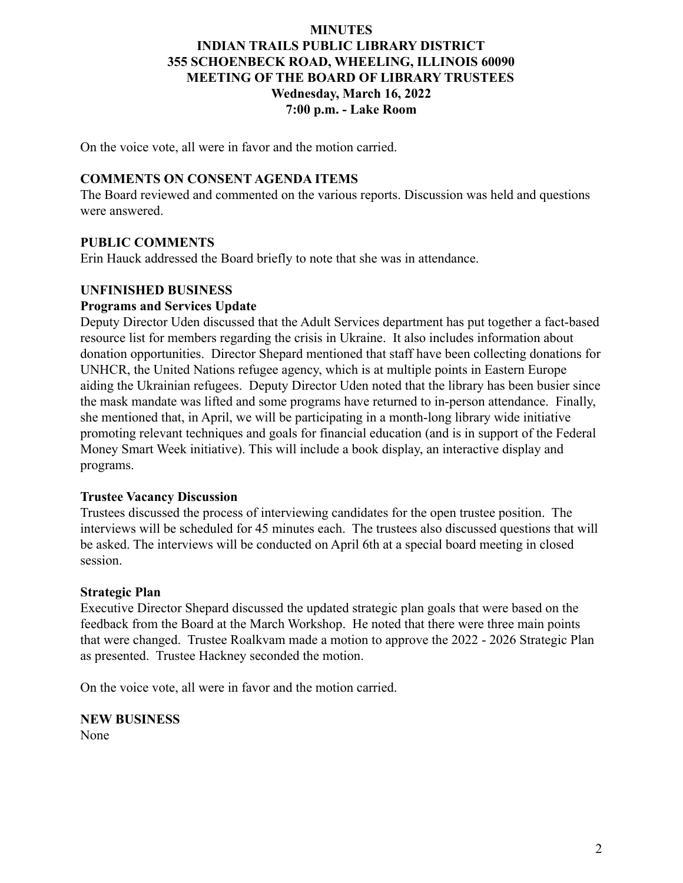## **MINUTES INDIAN TRAILS PUBLIC LIBRARY DISTRICT 355 SCHOENBECK ROAD, WHEELING, ILLINOIS 60090 MEETING OF THE BOARD OF LIBRARY TRUSTEES Wednesday, March 16, 2022 7:00 p.m. - Lake Room**

On the voice vote, all were in favor and the motion carried.

### **COMMENTS ON CONSENT AGENDA ITEMS**

The Board reviewed and commented on the various reports. Discussion was held and questions were answered.

### **PUBLIC COMMENTS**

Erin Hauck addressed the Board briefly to note that she was in attendance.

### **UNFINISHED BUSINESS**

#### **Programs and Services Update**

Deputy Director Uden discussed that the Adult Services department has put together a fact-based resource list for members regarding the crisis in Ukraine. It also includes information about donation opportunities. Director Shepard mentioned that staff have been collecting donations for UNHCR, the United Nations refugee agency, which is at multiple points in Eastern Europe aiding the Ukrainian refugees. Deputy Director Uden noted that the library has been busier since the mask mandate was lifted and some programs have returned to in-person attendance. Finally, she mentioned that, in April, we will be participating in a month-long library wide initiative promoting relevant techniques and goals for financial education (and is in support of the Federal Money Smart Week initiative). This will include a book display, an interactive display and programs.

#### **Trustee Vacancy Discussion**

Trustees discussed the process of interviewing candidates for the open trustee position. The interviews will be scheduled for 45 minutes each. The trustees also discussed questions that will be asked. The interviews will be conducted on April 6th at a special board meeting in closed session.

#### **Strategic Plan**

Executive Director Shepard discussed the updated strategic plan goals that were based on the feedback from the Board at the March Workshop. He noted that there were three main points that were changed. Trustee Roalkvam made a motion to approve the 2022 - 2026 Strategic Plan as presented. Trustee Hackney seconded the motion.

On the voice vote, all were in favor and the motion carried.

**NEW BUSINESS** None